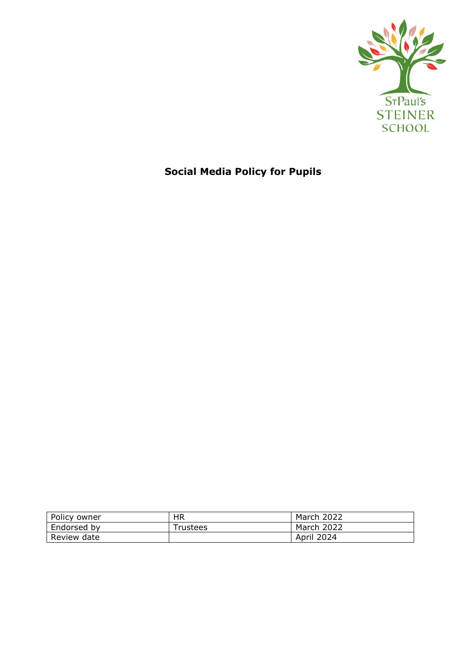

# **Social Media Policy for Pupils**

| Policy owner | HR       | March 2022        |
|--------------|----------|-------------------|
| Endorsed by  | Trustees | March 2022        |
| Review date  |          | <b>April 2024</b> |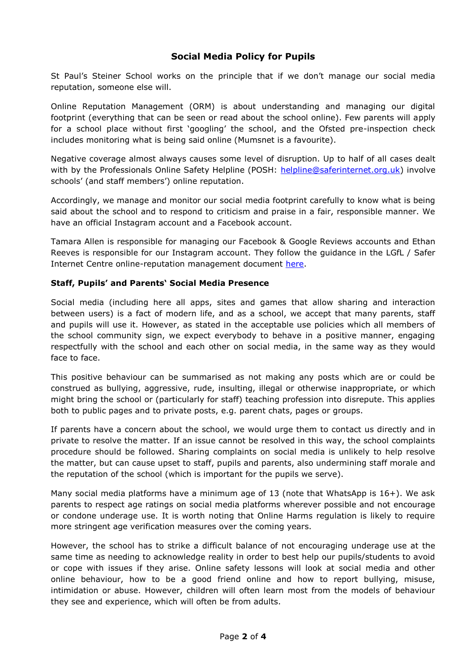## **Social Media Policy for Pupils**

St Paul's Steiner School works on the principle that if we don't manage our social media reputation, someone else will.

Online Reputation Management (ORM) is about understanding and managing our digital footprint (everything that can be seen or read about the school online). Few parents will apply for a school place without first 'googling' the school, and the Ofsted pre-inspection check includes monitoring what is being said online (Mumsnet is a favourite).

Negative coverage almost always causes some level of disruption. Up to half of all cases dealt with by the Professionals Online Safety Helpline (POSH: [helpline@saferinternet.org.uk\)](mailto:helpline@saferinternet.org.uk) involve schools' (and staff members') online reputation.

Accordingly, we manage and monitor our social media footprint carefully to know what is being said about the school and to respond to criticism and praise in a fair, responsible manner. We have an official Instagram account and a Facebook account.

Tamara Allen is responsible for managing our Facebook & Google Reviews accounts and Ethan Reeves is responsible for our Instagram account. They follow the guidance in the LGfL / Safer Internet Centre online-reputation management document [here.](https://static.lgfl.net/LgflNet/downloads/online-safety/LGfL-OS-Advice-Online-Reputation-Managment-for-Schools.pdf)

### **Staff, Pupils' and Parents' Social Media Presence**

Social media (including here all apps, sites and games that allow sharing and interaction between users) is a fact of modern life, and as a school, we accept that many parents, staff and pupils will use it. However, as stated in the acceptable use policies which all members of the school community sign, we expect everybody to behave in a positive manner, engaging respectfully with the school and each other on social media, in the same way as they would face to face.

This positive behaviour can be summarised as not making any posts which are or could be construed as bullying, aggressive, rude, insulting, illegal or otherwise inappropriate, or which might bring the school or (particularly for staff) teaching profession into disrepute. This applies both to public pages and to private posts, e.g. parent chats, pages or groups.

If parents have a concern about the school, we would urge them to contact us directly and in private to resolve the matter. If an issue cannot be resolved in this way, the school complaints procedure should be followed. Sharing complaints on social media is unlikely to help resolve the matter, but can cause upset to staff, pupils and parents, also undermining staff morale and the reputation of the school (which is important for the pupils we serve).

Many social media platforms have a minimum age of 13 (note that WhatsApp is 16+). We ask parents to respect age ratings on social media platforms wherever possible and not encourage or condone underage use. It is worth noting that Online Harms regulation is likely to require more stringent age verification measures over the coming years.

However, the school has to strike a difficult balance of not encouraging underage use at the same time as needing to acknowledge reality in order to best help our pupils/students to avoid or cope with issues if they arise. Online safety lessons will look at social media and other online behaviour, how to be a good friend online and how to report bullying, misuse, intimidation or abuse. However, children will often learn most from the models of behaviour they see and experience, which will often be from adults.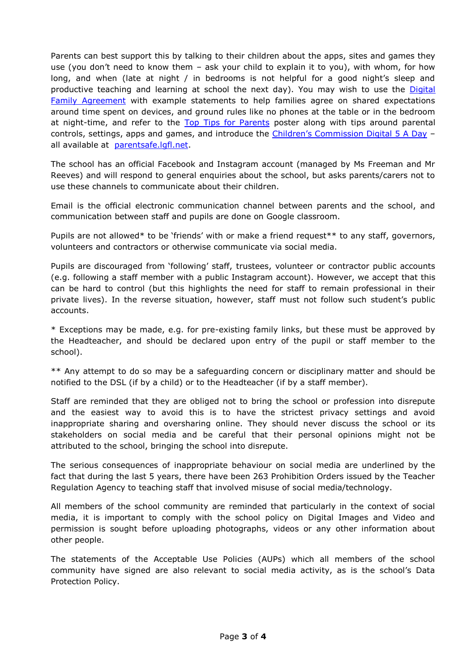Parents can best support this by talking to their children about the apps, sites and games they use (you don't need to know them – ask your child to explain it to you), with whom, for how long, and when (late at night / in bedrooms is not helpful for a good night's sleep and productive teaching and learning at school the next day). You may wish to use the Digital [Family Agreement](https://parentsafe.lgfl.net/digital-family-agreement) with example statements to help families agree on shared expectations around time spent on devices, and ground rules like no phones at the table or in the bedroom at night-time, and refer to the [Top Tips for Parents](https://static.lgfl.net/LgflNet/downloads/digisafe/Parent-Top-Tips-Safe-Online-Corona.pdf) poster along with tips around parental controls, settings, apps and games, and introduce the [Children's Commission Digital 5 A Day](https://www.childrenscommissioner.gov.uk/our-work/digital/5-a-day/) all available at [parentsafe.lgfl.net.](https://parentsafe.lgfl.net/)

The school has an official Facebook and Instagram account (managed by Ms Freeman and Mr Reeves) and will respond to general enquiries about the school, but asks parents/carers not to use these channels to communicate about their children.

Email is the official electronic communication channel between parents and the school, and communication between staff and pupils are done on Google classroom.

Pupils are not allowed\* to be 'friends' with or make a friend request\*\* to any staff, governors, volunteers and contractors or otherwise communicate via social media.

Pupils are discouraged from 'following' staff, trustees, volunteer or contractor public accounts (e.g. following a staff member with a public Instagram account). However, we accept that this can be hard to control (but this highlights the need for staff to remain professional in their private lives). In the reverse situation, however, staff must not follow such student's public accounts.

\* Exceptions may be made, e.g. for pre-existing family links, but these must be approved by the Headteacher, and should be declared upon entry of the pupil or staff member to the school).

\*\* Any attempt to do so may be a safeguarding concern or disciplinary matter and should be notified to the DSL (if by a child) or to the Headteacher (if by a staff member).

Staff are reminded that they are obliged not to bring the school or profession into disrepute and the easiest way to avoid this is to have the strictest privacy settings and avoid inappropriate sharing and oversharing online. They should never discuss the school or its stakeholders on social media and be careful that their personal opinions might not be attributed to the school, bringing the school into disrepute.

The serious consequences of inappropriate behaviour on social media are underlined by the fact that during the last 5 years, there have been 263 Prohibition Orders issued by the Teacher Regulation Agency to teaching staff that involved misuse of social media/technology.

All members of the school community are reminded that particularly in the context of social media, it is important to comply with the school policy on Digital Images and Video and permission is sought before uploading photographs, videos or any other information about other people.

The statements of the Acceptable Use Policies (AUPs) which all members of the school community have signed are also relevant to social media activity, as is the school's Data Protection Policy.